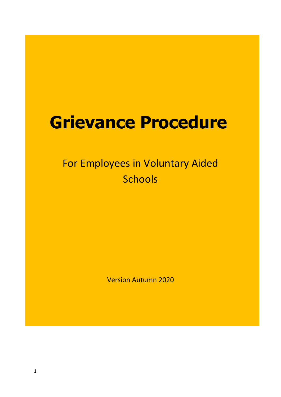# **Grievance Procedure**

## For Employees in Voluntary Aided **Schools**

Version Autumn 2020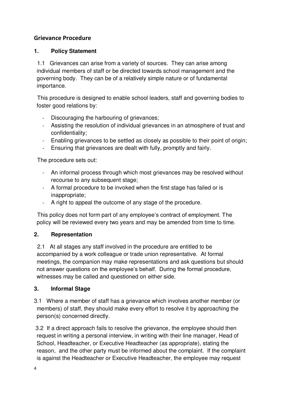### **Grievance Procedure**

#### **1. Policy Statement**

 1.1 Grievances can arise from a variety of sources. They can arise among individual members of staff or be directed towards school management and the governing body. They can be of a relatively simple nature or of fundamental importance.

 This procedure is designed to enable school leaders, staff and governing bodies to foster good relations by:

- Discouraging the harbouring of grievances;
- Assisting the resolution of individual grievances in an atmosphere of trust and confidentiality;
- Enabling grievances to be settled as closely as possible to their point of origin;
- Ensuring that grievances are dealt with fully, promptly and fairly.

The procedure sets out:

- An informal process through which most grievances may be resolved without recourse to any subsequent stage;
- A formal procedure to be invoked when the first stage has failed or is inappropriate;
- A right to appeal the outcome of any stage of the procedure.

 This policy does not form part of any employee's contract of employment. The policy will be reviewed every two years and may be amended from time to time.

#### **2. Representation**

 2.1 At all stages any staff involved in the procedure are entitled to be accompanied by a work colleague or trade union representative. At formal meetings, the companion may make representations and ask questions but should not answer questions on the employee's behalf. During the formal procedure, witnesses may be called and questioned on either side.

#### **3. Informal Stage**

3.1 Where a member of staff has a grievance which involves another member (or members) of staff, they should make every effort to resolve it by approaching the person(s) concerned directly.

 3.2 If a direct approach fails to resolve the grievance, the employee should then request in writing a personal interview, in writing with their line manager, Head of School, Headteacher, or Executive Headteacher (as appropriate), stating the reason, and the other party must be informed about the complaint. If the complaint is against the Headteacher or Executive Headteacher, the employee may request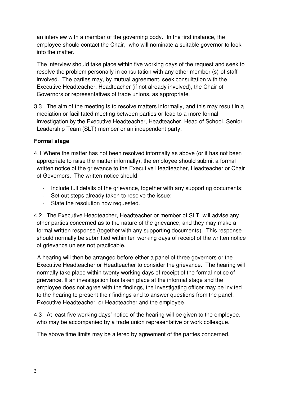an interview with a member of the governing body. In the first instance, the employee should contact the Chair, who will nominate a suitable governor to look into the matter.

 The interview should take place within five working days of the request and seek to resolve the problem personally in consultation with any other member (s) of staff involved. The parties may, by mutual agreement, seek consultation with the Executive Headteacher, Headteacher (if not already involved), the Chair of Governors or representatives of trade unions, as appropriate.

3.3 The aim of the meeting is to resolve matters informally, and this may result in a mediation or facilitated meeting between parties or lead to a more formal investigation by the Executive Headteacher, Headteacher, Head of School, Senior Leadership Team (SLT) member or an independent party.

#### **Formal stage**

- 4.1 Where the matter has not been resolved informally as above (or it has not been appropriate to raise the matter informally), the employee should submit a formal written notice of the grievance to the Executive Headteacher, Headteacher or Chair of Governors. The written notice should:
	- Include full details of the grievance, together with any supporting documents;
	- Set out steps already taken to resolve the issue;
	- State the resolution now requested.

4.2 The Executive Headteacher, Headteacher or member of SLT will advise any other parties concerned as to the nature of the grievance, and they may make a formal written response (together with any supporting documents). This response should normally be submitted within ten working days of receipt of the written notice of grievance unless not practicable.

 A hearing will then be arranged before either a panel of three governors or the Executive Headteacher or Headteacher to consider the grievance. The hearing will normally take place within twenty working days of receipt of the formal notice of grievance. If an investigation has taken place at the informal stage and the employee does not agree with the findings, the investigating officer may be invited to the hearing to present their findings and to answer questions from the panel, Executive Headteacher or Headteacher and the employee.

4.3 At least five working days' notice of the hearing will be given to the employee, who may be accompanied by a trade union representative or work colleague.

The above time limits may be altered by agreement of the parties concerned.